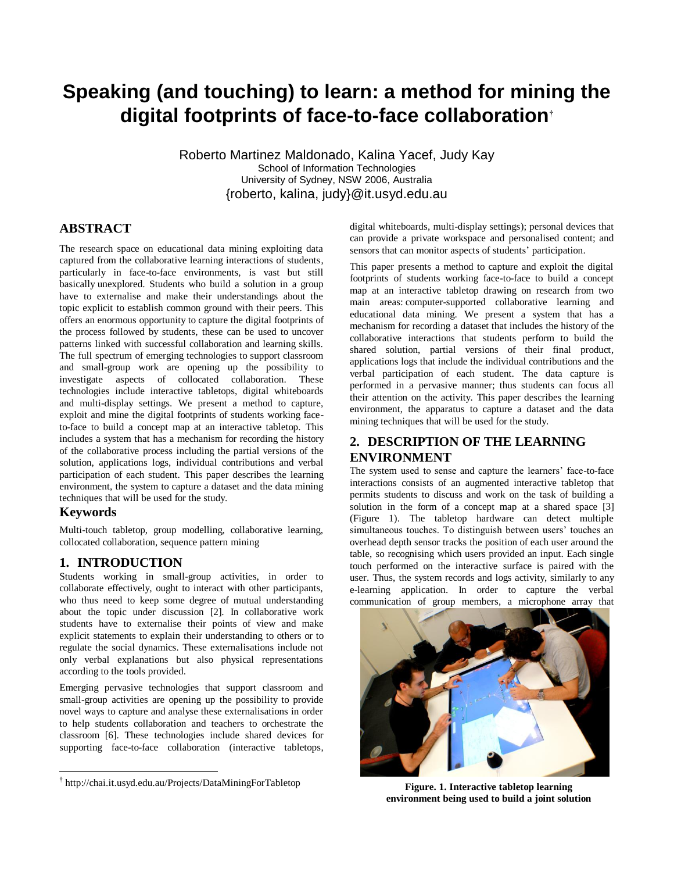# **Speaking (and touching) to learn: a method for mining the digital footprints of face-to-face collaboration†**

Roberto Martinez Maldonado, Kalina Yacef, Judy Kay School of Information Technologies University of Sydney, NSW 2006, Australia {roberto, kalina, judy}@it.usyd.edu.au

## **ABSTRACT**

The research space on educational data mining exploiting data captured from the collaborative learning interactions of students, particularly in face-to-face environments, is vast but still basically unexplored. Students who build a solution in a group have to externalise and make their understandings about the topic explicit to establish common ground with their peers. This offers an enormous opportunity to capture the digital footprints of the process followed by students, these can be used to uncover patterns linked with successful collaboration and learning skills. The full spectrum of emerging technologies to support classroom and small-group work are opening up the possibility to investigate aspects of collocated collaboration. These technologies include interactive tabletops, digital whiteboards and multi-display settings. We present a method to capture, exploit and mine the digital footprints of students working faceto-face to build a concept map at an interactive tabletop. This includes a system that has a mechanism for recording the history of the collaborative process including the partial versions of the solution, applications logs, individual contributions and verbal participation of each student. This paper describes the learning environment, the system to capture a dataset and the data mining techniques that will be used for the study.

#### **Keywords**

 $\overline{a}$ 

Multi-touch tabletop, group modelling, collaborative learning, collocated collaboration, sequence pattern mining

## **1. INTRODUCTION**

Students working in small-group activities, in order to collaborate effectively, ought to interact with other participants, who thus need to keep some degree of mutual understanding about the topic under discussion [\[2\]](#page-1-0). In collaborative work students have to externalise their points of view and make explicit statements to explain their understanding to others or to regulate the social dynamics. These externalisations include not only verbal explanations but also physical representations according to the tools provided.

Emerging pervasive technologies that support classroom and small-group activities are opening up the possibility to provide novel ways to capture and analyse these externalisations in order to help students collaboration and teachers to orchestrate the classroom [\[6\]](#page-1-1). These technologies include shared devices for supporting face-to-face collaboration (interactive tabletops,

digital whiteboards, multi-display settings); personal devices that can provide a private workspace and personalised content; and sensors that can monitor aspects of students' participation.

This paper presents a method to capture and exploit the digital footprints of students working face-to-face to build a concept map at an interactive tabletop drawing on research from two main areas: computer-supported collaborative learning and educational data mining. We present a system that has a mechanism for recording a dataset that includes the history of the collaborative interactions that students perform to build the shared solution, partial versions of their final product, applications logs that include the individual contributions and the verbal participation of each student. The data capture is performed in a pervasive manner; thus students can focus all their attention on the activity. This paper describes the learning environment, the apparatus to capture a dataset and the data mining techniques that will be used for the study.

## **2. DESCRIPTION OF THE LEARNING ENVIRONMENT**

The system used to sense and capture the learners' face-to-face interactions consists of an augmented interactive tabletop that permits students to discuss and work on the task of building a solution in the form of a concept map at a shared space [\[3\]](#page-1-2) (Figure 1). The tabletop hardware can detect multiple simultaneous touches. To distinguish between users' touches an overhead depth sensor tracks the position of each user around the table, so recognising which users provided an input. Each single touch performed on the interactive surface is paired with the user. Thus, the system records and logs activity, similarly to any e-learning application. In order to capture the verbal communication of group members, a microphone array that



**Figure. 1. Interactive tabletop learning environment being used to build a joint solution**

<sup>†</sup> <http://chai.it.usyd.edu.au/Projects/DataMiningForTabletop>